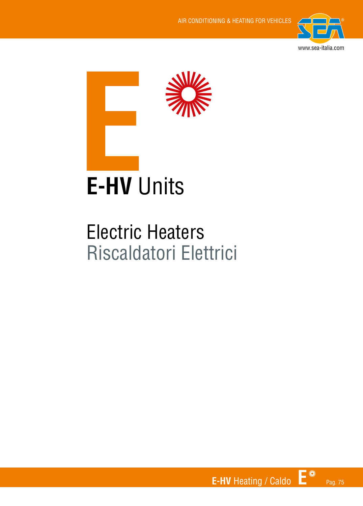



### Electric Heaters Riscaldatori Elettrici

**E-HV** Heating / Caldo **E** Pag. 75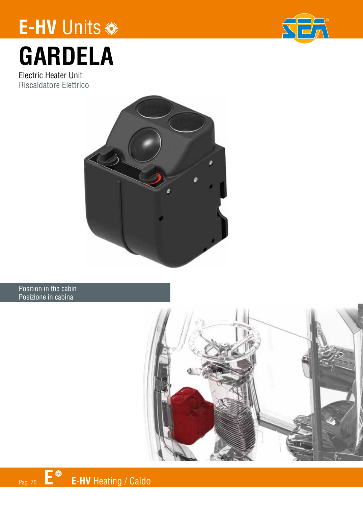## **E-HV** Units



# **GARDELA**

Electric Heater Unit Riscaldatore Elettrico



#### Position in the cabin Posizione in cabina

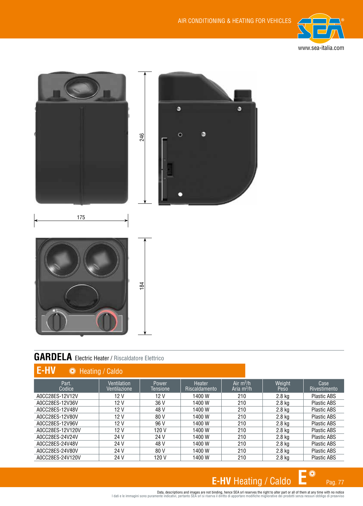



#### **GARDELA** Electric Heater / Riscaldatore Elettrico

| <b>E-HV</b><br><b>WE</b> Heating / Caldo |                             |                   |                         |                             |                |                      |  |
|------------------------------------------|-----------------------------|-------------------|-------------------------|-----------------------------|----------------|----------------------|--|
| Part.<br>Codice                          | Ventilation<br>Ventilazione | Power<br>Tensione | Heater<br>Riscaldamento | Air $m^3/h$<br>Aria $m^3/h$ | Weight<br>Peso | Case<br>Rivestimento |  |
| A0CC28FS-12V12V                          | 12 V                        | 12V               | 1400 W                  | 210                         | 2.8 kg         | <b>Plastic ABS</b>   |  |
| A0CC28ES-12V36V                          | 12V                         | 36 V              | 1400 W                  | 210                         | $2.8$ kg       | <b>Plastic ABS</b>   |  |
| A0CC28ES-12V48V                          | 12V                         | 48 V              | 1400 W                  | 210                         | 2.8 kg         | <b>Plastic ABS</b>   |  |
| A0CC28ES-12V80V                          | 12 V                        | 80 V              | 1400 W                  | 210                         | 2.8 ka         | <b>Plastic ABS</b>   |  |
| A0CC28ES-12V96V                          | 12V                         | 96 V              | 1400 W                  | 210                         | 2.8 kg         | <b>Plastic ABS</b>   |  |
| A0CC28ES-12V120V                         | 12V                         | 120 V             | 1400 W                  | 210                         | $2.8$ kg       | <b>Plastic ABS</b>   |  |
| A0CC28ES-24V24V                          | 24 V                        | 24 V              | 1400 W                  | 210                         | 2.8 ka         | <b>Plastic ABS</b>   |  |
| A0CC28ES-24V48V                          | 24 V                        | 48 V              | 1400 W                  | 210                         | $2.8$ kg       | <b>Plastic ABS</b>   |  |
| A0CC28ES-24V80V                          | 24 V                        | 80 V              | 1400 W                  | 210                         | $2.8$ kg       | <b>Plastic ABS</b>   |  |
| A0CC28ES-24V120V                         | 24 V                        | 120 V             | 1400W                   | 210                         | 2.8 kg         | <b>Plastic ABS</b>   |  |

### E-HV Heating / Caldo  $E^*$ <sub>Pag. 77</sub>

Data, descriptions and images are not binding, hence SEA srl reserves the right to alter part or all of them at any time with no notice<br>I dati e le immagini sono puramente indicativi, pertanto SEA srl si riserva il diritto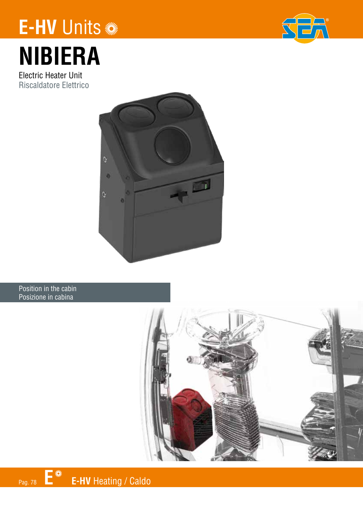## **E-HV** Units

## **SEA**

# **NIBIERA**

Electric Heater Unit Riscaldatore Elettrico



#### Position in the cabin Posizione in cabina

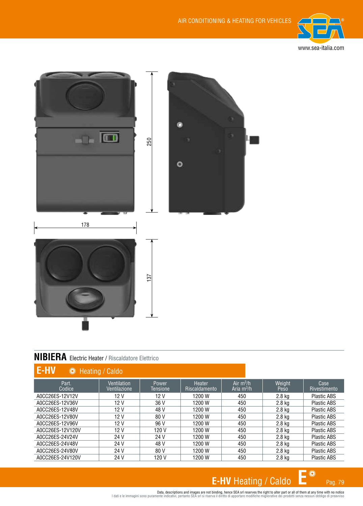



#### **NIBIERA** Electric Heater / Riscaldatore Elettrico

| <b>E-HV</b><br><sup>I</sup> <i>W</i> Heating / Caldo |                                    |                          |                                |                             |                |                      |  |
|------------------------------------------------------|------------------------------------|--------------------------|--------------------------------|-----------------------------|----------------|----------------------|--|
| Part.<br>Codice                                      | <b>Ventilation</b><br>Ventilazione | <b>Power</b><br>Tensione | Heater<br><b>Riscaldamento</b> | Air $m^3/h$<br>Aria $m^3/h$ | Weight<br>Peso | Case<br>Rivestimento |  |
| A0CC26ES-12V12V                                      | 12V                                | 12V                      | 1200 W                         | 450                         | $2.8$ kg       | <b>Plastic ABS</b>   |  |
| A0CC26ES-12V36V                                      | 12V                                | 36 V                     | 1200 W                         | 450                         | $2.8$ kg       | <b>Plastic ABS</b>   |  |
| A0CC26ES-12V48V                                      | 12V                                | 48 V                     | 1200 W                         | 450                         | 2.8 kg         | <b>Plastic ABS</b>   |  |
| A0CC26ES-12V80V                                      | 12V                                | 80 V                     | 1200 W                         | 450                         | $2.8$ kg       | <b>Plastic ABS</b>   |  |
| A0CC26ES-12V96V                                      | 12V                                | 96 V                     | 1200 W                         | 450                         | $2.8$ kg       | <b>Plastic ABS</b>   |  |
| A0CC26ES-12V120V                                     | 12V                                | 120 V                    | 1200 W                         | 450                         | 2.8 kg         | <b>Plastic ABS</b>   |  |
| A0CC26FS-24V24V                                      | 24 V                               | 24 V                     | 1200 W                         | 450                         | 2.8 kg         | <b>Plastic ABS</b>   |  |
| A0CC26ES-24V48V                                      | 24 V                               | 48 V                     | 1200 W                         | 450                         | $2.8$ kg       | <b>Plastic ABS</b>   |  |
| A0CC26ES-24V80V                                      | 24 V                               | 80 V                     | 1200 W                         | 450                         | 2.8 kg         | <b>Plastic ABS</b>   |  |
| A0CC26ES-24V120V                                     | 24 V                               | 120 V                    | 1200 W                         | 450                         | 2.8 kg         | <b>Plastic ABS</b>   |  |

### **E-HV** Heating / Caldo  $\mathbf{E}^*$  Pag. 79

Data, descriptions and images are not binding, hence SEA srl reserves the right to alter part or all of them at any time with no notice<br>I dati e le immagini sono puramente indicativi, pertanto SEA srl si riserva il diritto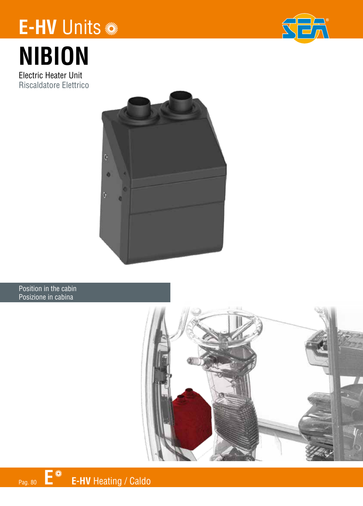## **E-HV** Units



# **NIBION**

Electric Heater Unit Riscaldatore Elettrico



#### Position in the cabin Posizione in cabina

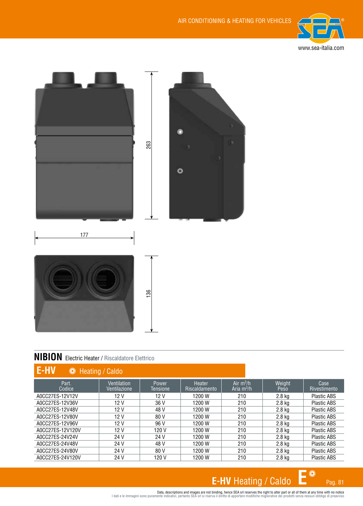



#### **NIBION** Electric Heater / Riscaldatore Elettrico

| E-HV<br><sup>I</sup> <i>W</i> Heating / Caldo |                             |                   |                                |                             |                |                      |
|-----------------------------------------------|-----------------------------|-------------------|--------------------------------|-----------------------------|----------------|----------------------|
| Part.<br>Codice                               | Ventilation<br>Ventilazione | Power<br>Tensione | Heater<br><b>Riscaldamento</b> | Air $m^3/h$<br>Aria $m^3/h$ | Weight<br>Peso | Case<br>Rivestimento |
| A0CC27ES-12V12V                               | 12 V                        | 12V               | 1200 W                         | 210                         | 2.8 kg         | <b>Plastic ABS</b>   |
| A0CC27ES-12V36V                               | 12 <sub>V</sub>             | 36 V              | 1200 W                         | 210                         | $2.8$ kg       | <b>Plastic ABS</b>   |
| A0CC27ES-12V48V                               | 12 <sub>V</sub>             | 48 V              | 1200 W                         | 210                         | $2.8$ kg       | <b>Plastic ABS</b>   |
| A0CC27ES-12V80V                               | 12 V                        | 80 V              | 1200 W                         | 210                         | 2.8 kg         | <b>Plastic ABS</b>   |
| A0CC27ES-12V96V                               | 12 <sub>V</sub>             | 96 V              | 1200 W                         | 210                         | 2.8 kg         | Plastic ABS          |
| A0CC27ES-12V120V                              | 12 <sub>V</sub>             | 120 V             | 1200 W                         | 210                         | $2.8$ kg       | <b>Plastic ABS</b>   |
| A0CC27ES-24V24V                               | 24 V                        | 24 V              | 1200 W                         | 210                         | 2.8 kg         | <b>Plastic ABS</b>   |
| A0CC27ES-24V48V                               | 24 V                        | 48 V              | 1200 W                         | 210                         | 2.8 kg         | <b>Plastic ABS</b>   |
| A0CC27ES-24V80V                               | 24 V                        | 80 V              | 1200 W                         | 210                         | $2.8$ kg       | <b>Plastic ABS</b>   |
| A0CC27ES-24V120V                              | 24 V                        | 120 V             | 1200 W                         | 210                         | 2.8 kg         | <b>Plastic ABS</b>   |

### **E-HV** Heating / Caldo  $\mathbf{E}^*$  Pag. 81

Data, descriptions and images are not binding, hence SEA srl reserves the right to alter part or all of them at any time with no notice<br>I dati e le immagini sono puramente indicativi, pertanto SEA srl si riserva il diritto